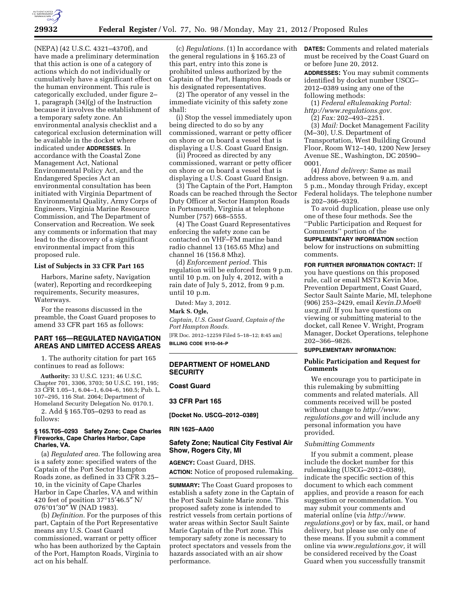

(NEPA) (42 U.S.C. 4321–4370f), and have made a preliminary determination that this action is one of a category of actions which do not individually or cumulatively have a significant effect on the human environment. This rule is categorically excluded, under figure 2– 1, paragraph (34)(g) of the Instruction because it involves the establishment of a temporary safety zone. An environmental analysis checklist and a categorical exclusion determination will be available in the docket where indicated under **ADDRESSES**. In accordance with the Coastal Zone Management Act, National Environmental Policy Act, and the Endangered Species Act an environmental consultation has been initiated with Virginia Department of Environmental Quality, Army Corps of Engineers, Virginia Marine Resource Commission, and The Department of Conservation and Recreation. We seek any comments or information that may lead to the discovery of a significant environmental impact from this proposed rule.

### **List of Subjects in 33 CFR Part 165**

Harbors, Marine safety, Navigation (water), Reporting and recordkeeping requirements, Security measures, Waterways.

For the reasons discussed in the preamble, the Coast Guard proposes to amend 33 CFR part 165 as follows:

# **PART 165—REGULATED NAVIGATION AREAS AND LIMITED ACCESS AREAS**

1. The authority citation for part 165 continues to read as follows:

**Authority:** 33 U.S.C. 1231; 46 U.S.C. Chapter 701, 3306, 3703; 50 U.S.C. 191, 195; 33 CFR 1.05–1, 6.04–1, 6.04–6, 160.5; Pub. L. 107–295, 116 Stat. 2064; Department of Homeland Security Delegation No. 0170.1.

2. Add § 165.T05–0293 to read as follows:

## **§ 165.T05–0293 Safety Zone; Cape Charles Fireworks, Cape Charles Harbor, Cape Charles, VA.**

(a) *Regulated area.* The following area is a safety zone: specified waters of the Captain of the Port Sector Hampton Roads zone, as defined in 33 CFR 3.25– 10, in the vicinity of Cape Charles Harbor in Cape Charles, VA and within 420 feet of position 37°15′46.5″ N/ 076°01′30″ W (NAD 1983).

(b) *Definition.* For the purposes of this part, Captain of the Port Representative means any U.S. Coast Guard commissioned, warrant or petty officer who has been authorized by the Captain of the Port, Hampton Roads, Virginia to act on his behalf.

(c) *Regulations.* (1) In accordance with the general regulations in § 165.23 of this part, entry into this zone is prohibited unless authorized by the Captain of the Port, Hampton Roads or his designated representatives.

(2) The operator of any vessel in the immediate vicinity of this safety zone shall:

(i) Stop the vessel immediately upon being directed to do so by any commissioned, warrant or petty officer on shore or on board a vessel that is displaying a U.S. Coast Guard Ensign.

(ii) Proceed as directed by any commissioned, warrant or petty officer on shore or on board a vessel that is displaying a U.S. Coast Guard Ensign.

(3) The Captain of the Port, Hampton Roads can be reached through the Sector Duty Officer at Sector Hampton Roads in Portsmouth, Virginia at telephone Number (757) 668–5555.

(4) The Coast Guard Representatives enforcing the safety zone can be contacted on VHF–FM marine band radio channel 13 (165.65 Mhz) and channel 16 (156.8 Mhz).

(d) *Enforcement period.* This regulation will be enforced from 9 p.m. until 10 p.m. on July 4, 2012, with a rain date of July 5, 2012, from 9 p.m. until 10 p.m.

Dated: May 3, 2012.

**Mark S. Ogle,** 

*Captain, U.S. Coast Guard, Captain of the Port Hampton Roads.*  [FR Doc. 2012–12259 Filed 5–18–12; 8:45 am]

**BILLING CODE 9110–04–P** 

# **DEPARTMENT OF HOMELAND SECURITY**

# **Coast Guard**

# **33 CFR Part 165**

**[Docket No. USCG–2012–0389]** 

**RIN 1625–AA00** 

## **Safety Zone; Nautical City Festival Air Show, Rogers City, MI**

**AGENCY:** Coast Guard, DHS. **ACTION:** Notice of proposed rulemaking.

**SUMMARY:** The Coast Guard proposes to establish a safety zone in the Captain of the Port Sault Sainte Marie zone. This proposed safety zone is intended to restrict vessels from certain portions of water areas within Sector Sault Sainte Marie Captain of the Port zone. This temporary safety zone is necessary to protect spectators and vessels from the hazards associated with an air show performance.

**DATES:** Comments and related materials must be received by the Coast Guard on or before June 20, 2012.

**ADDRESSES:** You may submit comments identified by docket number USCG– 2012–0389 using any one of the following methods:

(1) *Federal eRulemaking Portal: [http://www.regulations.gov.](http://www.regulations.gov)* 

(2) *Fax:* 202–493–2251.

(3) *Mail:* Docket Management Facility (M–30), U.S. Department of Transportation, West Building Ground Floor, Room W12–140, 1200 New Jersey Avenue SE., Washington, DC 20590– 0001.

(4) *Hand delivery:* Same as mail address above, between 9 a.m. and 5 p.m., Monday through Friday, except Federal holidays. The telephone number is 202–366–9329.

To avoid duplication, please use only one of these four methods. See the ''Public Participation and Request for

Comments'' portion of the **SUPPLEMENTARY INFORMATION** section below for instructions on submitting comments.

**FOR FURTHER INFORMATION CONTACT:** If you have questions on this proposed rule, call or email MST3 Kevin Moe, Prevention Department, Coast Guard, Sector Sault Sainte Marie, MI, telephone (906) 253–2429, email *[Kevin.D.Moe@](mailto:Kevin.D.Moe@uscg.mil) [uscg.mil.](mailto:Kevin.D.Moe@uscg.mil)* If you have questions on viewing or submitting material to the docket, call Renee V. Wright, Program Manager, Docket Operations, telephone 202–366–9826.

## **SUPPLEMENTARY INFORMATION:**

## **Public Participation and Request for Comments**

We encourage you to participate in this rulemaking by submitting comments and related materials. All comments received will be posted without change to *[http://www.](http://www.regulations.gov) [regulations.gov](http://www.regulations.gov)* and will include any personal information you have provided.

### *Submitting Comments*

If you submit a comment, please include the docket number for this rulemaking (USCG–2012–0389), indicate the specific section of this document to which each comment applies, and provide a reason for each suggestion or recommendation. You may submit your comments and material online (via *[http://www.](http://www.regulations.gov) [regulations.gov](http://www.regulations.gov)*) or by fax, mail, or hand delivery, but please use only one of these means. If you submit a comment online via *[www.regulations.gov,](http://www.regulations.gov)* it will be considered received by the Coast Guard when you successfully transmit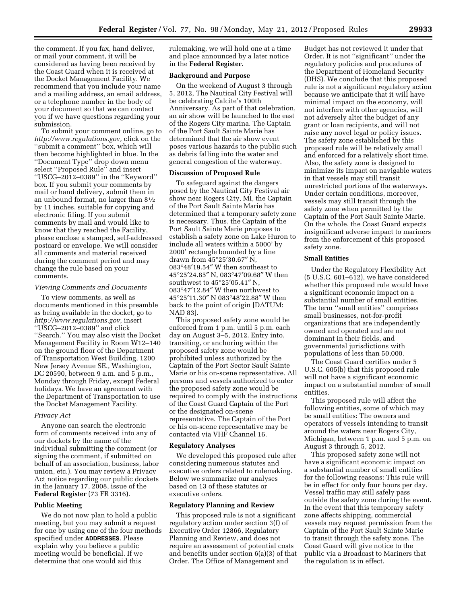the comment. If you fax, hand deliver, or mail your comment, it will be considered as having been received by the Coast Guard when it is received at the Docket Management Facility. We recommend that you include your name and a mailing address, an email address, or a telephone number in the body of your document so that we can contact you if we have questions regarding your submission.

To submit your comment online, go to *[http://www.regulations.gov,](http://www.regulations.gov)* click on the ''submit a comment'' box, which will then become highlighted in blue. In the ''Document Type'' drop down menu select ''Proposed Rule'' and insert ''USCG–2012–0389'' in the ''Keyword'' box. If you submit your comments by mail or hand delivery, submit them in an unbound format, no larger than 81⁄2 by 11 inches, suitable for copying and electronic filing. If you submit comments by mail and would like to know that they reached the Facility, please enclose a stamped, self-addressed postcard or envelope. We will consider all comments and material received during the comment period and may change the rule based on your comments.

#### *Viewing Comments and Documents*

To view comments, as well as documents mentioned in this preamble as being available in the docket, go to *[http://www.regulations.gov,](http://www.regulations.gov)* insert ''USCG–2012–0389'' and click ''Search.'' You may also visit the Docket Management Facility in Room W12–140 on the ground floor of the Department of Transportation West Building, 1200 New Jersey Avenue SE., Washington, DC 20590, between 9 a.m. and 5 p.m., Monday through Friday, except Federal holidays. We have an agreement with the Department of Transportation to use the Docket Management Facility.

#### *Privacy Act*

Anyone can search the electronic form of comments received into any of our dockets by the name of the individual submitting the comment (or signing the comment, if submitted on behalf of an association, business, labor union, etc.). You may review a Privacy Act notice regarding our public dockets in the January 17, 2008, issue of the **Federal Register** (73 FR 3316).

#### **Public Meeting**

We do not now plan to hold a public meeting, but you may submit a request for one by using one of the four methods specified under **ADDRESSES**. Please explain why you believe a public meeting would be beneficial. If we determine that one would aid this

rulemaking, we will hold one at a time and place announced by a later notice in the **Federal Register**.

### **Background and Purpose**

On the weekend of August 3 through 5, 2012, The Nautical City Festival will be celebrating Calcite's 100th Anniversary. As part of that celebration, an air show will be launched to the east of the Rogers City marina. The Captain of the Port Sault Sainte Marie has determined that the air show event poses various hazards to the public such as debris falling into the water and general congestion of the waterway.

### **Discussion of Proposed Rule**

To safeguard against the dangers posed by the Nautical City Festival air show near Rogers City, MI, the Captain of the Port Sault Sainte Marie has determined that a temporary safety zone is necessary. Thus, the Captain of the Port Sault Sainte Marie proposes to establish a safety zone on Lake Huron to include all waters within a 5000' by 2000' rectangle bounded by a line drawn from 45°25′30.67″ N, 083°48′19.54″ W then southeast to 45°25′24.85″ N, 083°47′09.68″ W then southwest to 45°25′05.41″ N, 083°47′12.84″ W then northwest to 45°25′11.30″ N 083°48′22.88″ W then back to the point of origin [DATUM: NAD 83].

This proposed safety zone would be enforced from 1 p.m. until 5 p.m. each day on August 3–5, 2012. Entry into, transiting, or anchoring within the proposed safety zone would be prohibited unless authorized by the Captain of the Port Sector Sault Sainte Marie or his on-scene representative. All persons and vessels authorized to enter the proposed safety zone would be required to comply with the instructions of the Coast Guard Captain of the Port or the designated on-scene representative. The Captain of the Port or his on-scene representative may be contacted via VHF Channel 16.

#### **Regulatory Analyses**

We developed this proposed rule after considering numerous statutes and executive orders related to rulemaking. Below we summarize our analyses based on 13 of these statutes or executive orders.

## **Regulatory Planning and Review**

This proposed rule is not a significant regulatory action under section 3(f) of Executive Order 12866, Regulatory Planning and Review, and does not require an assessment of potential costs and benefits under section 6(a)(3) of that Order. The Office of Management and

Budget has not reviewed it under that Order. It is not ''significant'' under the regulatory policies and procedures of the Department of Homeland Security (DHS). We conclude that this proposed rule is not a significant regulatory action because we anticipate that it will have minimal impact on the economy, will not interfere with other agencies, will not adversely alter the budget of any grant or loan recipients, and will not raise any novel legal or policy issues. The safety zone established by this proposed rule will be relatively small and enforced for a relatively short time. Also, the safety zone is designed to minimize its impact on navigable waters in that vessels may still transit unrestricted portions of the waterways. Under certain conditions, moreover, vessels may still transit through the safety zone when permitted by the Captain of the Port Sault Sainte Marie. On the whole, the Coast Guard expects insignificant adverse impact to mariners from the enforcement of this proposed safety zone.

## **Small Entities**

Under the Regulatory Flexibility Act (5 U.S.C. 601–612), we have considered whether this proposed rule would have a significant economic impact on a substantial number of small entities. The term ''small entities'' comprises small businesses, not-for-profit organizations that are independently owned and operated and are not dominant in their fields, and governmental jurisdictions with populations of less than 50,000.

The Coast Guard certifies under 5 U.S.C. 605(b) that this proposed rule will not have a significant economic impact on a substantial number of small entities.

This proposed rule will affect the following entities, some of which may be small entities: The owners and operators of vessels intending to transit around the waters near Rogers City, Michigan, between 1 p.m. and 5 p.m. on August 3 through 5, 2012.

This proposed safety zone will not have a significant economic impact on a substantial number of small entities for the following reasons: This rule will be in effect for only four hours per day. Vessel traffic may still safely pass outside the safety zone during the event. In the event that this temporary safety zone affects shipping, commercial vessels may request permission from the Captain of the Port Sault Sainte Marie to transit through the safety zone. The Coast Guard will give notice to the public via a Broadcast to Mariners that the regulation is in effect.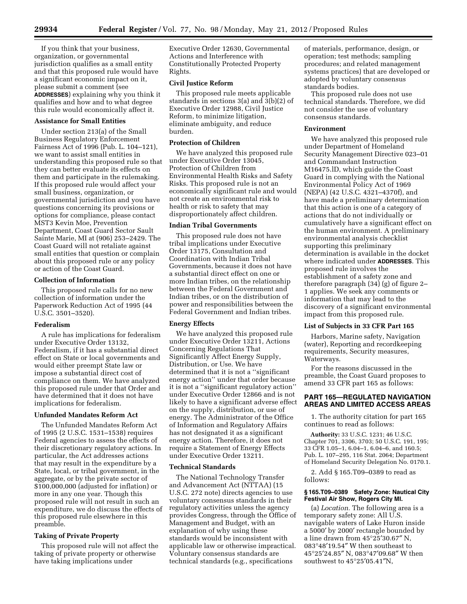If you think that your business, organization, or governmental jurisdiction qualifies as a small entity and that this proposed rule would have a significant economic impact on it, please submit a comment (see **ADDRESSES**) explaining why you think it qualifies and how and to what degree this rule would economically affect it.

# **Assistance for Small Entities**

Under section 213(a) of the Small Business Regulatory Enforcement Fairness Act of 1996 (Pub. L. 104–121), we want to assist small entities in understanding this proposed rule so that they can better evaluate its effects on them and participate in the rulemaking. If this proposed rule would affect your small business, organization, or governmental jurisdiction and you have questions concerning its provisions or options for compliance, please contact MST3 Kevin Moe, Prevention Department, Coast Guard Sector Sault Sainte Marie, MI at (906) 253–2429. The Coast Guard will not retaliate against small entities that question or complain about this proposed rule or any policy or action of the Coast Guard.

## **Collection of Information**

This proposed rule calls for no new collection of information under the Paperwork Reduction Act of 1995 (44 U.S.C. 3501–3520).

## **Federalism**

A rule has implications for federalism under Executive Order 13132, Federalism, if it has a substantial direct effect on State or local governments and would either preempt State law or impose a substantial direct cost of compliance on them. We have analyzed this proposed rule under that Order and have determined that it does not have implications for federalism.

## **Unfunded Mandates Reform Act**

The Unfunded Mandates Reform Act of 1995 (2 U.S.C. 1531–1538) requires Federal agencies to assess the effects of their discretionary regulatory actions. In particular, the Act addresses actions that may result in the expenditure by a State, local, or tribal government, in the aggregate, or by the private sector of \$100,000,000 (adjusted for inflation) or more in any one year. Though this proposed rule will not result in such an expenditure, we do discuss the effects of this proposed rule elsewhere in this preamble.

# **Taking of Private Property**

This proposed rule will not affect the taking of private property or otherwise have taking implications under

Executive Order 12630, Governmental Actions and Interference with Constitutionally Protected Property Rights.

### **Civil Justice Reform**

This proposed rule meets applicable standards in sections 3(a) and 3(b)(2) of Executive Order 12988, Civil Justice Reform, to minimize litigation, eliminate ambiguity, and reduce burden.

## **Protection of Children**

We have analyzed this proposed rule under Executive Order 13045, Protection of Children from Environmental Health Risks and Safety Risks. This proposed rule is not an economically significant rule and would not create an environmental risk to health or risk to safety that may disproportionately affect children.

#### **Indian Tribal Governments**

This proposed rule does not have tribal implications under Executive Order 13175, Consultation and Coordination with Indian Tribal Governments, because it does not have a substantial direct effect on one or more Indian tribes, on the relationship between the Federal Government and Indian tribes, or on the distribution of power and responsibilities between the Federal Government and Indian tribes.

## **Energy Effects**

We have analyzed this proposed rule under Executive Order 13211, Actions Concerning Regulations That Significantly Affect Energy Supply, Distribution, or Use. We have determined that it is not a ''significant energy action'' under that order because it is not a ''significant regulatory action'' under Executive Order 12866 and is not likely to have a significant adverse effect on the supply, distribution, or use of energy. The Administrator of the Office of Information and Regulatory Affairs has not designated it as a significant energy action. Therefore, it does not require a Statement of Energy Effects under Executive Order 13211.

#### **Technical Standards**

The National Technology Transfer and Advancement Act (NTTAA) (15 U.S.C. 272 note) directs agencies to use voluntary consensus standards in their regulatory activities unless the agency provides Congress, through the Office of Management and Budget, with an explanation of why using these standards would be inconsistent with applicable law or otherwise impractical. Voluntary consensus standards are technical standards (e.g., specifications

of materials, performance, design, or operation; test methods; sampling procedures; and related management systems practices) that are developed or adopted by voluntary consensus standards bodies.

This proposed rule does not use technical standards. Therefore, we did not consider the use of voluntary consensus standards.

### **Environment**

We have analyzed this proposed rule under Department of Homeland Security Management Directive 023–01 and Commandant Instruction M16475.lD, which guide the Coast Guard in complying with the National Environmental Policy Act of 1969 (NEPA) (42 U.S.C. 4321–4370f), and have made a preliminary determination that this action is one of a category of actions that do not individually or cumulatively have a significant effect on the human environment. A preliminary environmental analysis checklist supporting this preliminary determination is available in the docket where indicated under **ADDRESSES**. This proposed rule involves the establishment of a safety zone and therefore paragraph (34) (g) of figure 2– 1 applies. We seek any comments or information that may lead to the discovery of a significant environmental impact from this proposed rule.

# **List of Subjects in 33 CFR Part 165**

Harbors, Marine safety, Navigation (water), Reporting and recordkeeping requirements, Security measures, Waterways.

For the reasons discussed in the preamble, the Coast Guard proposes to amend 33 CFR part 165 as follows:

# **PART 165—REGULATED NAVIGATION AREAS AND LIMITED ACCESS AREAS**

1. The authority citation for part 165 continues to read as follows:

**Authority:** 33 U.S.C. 1231; 46 U.S.C. Chapter 701, 3306, 3703; 50 U.S.C. 191, 195; 33 CFR 1.05–1, 6.04–1, 6.04–6, and 160.5; Pub. L. 107–295, 116 Stat. 2064; Department of Homeland Security Delegation No. 0170.1.

2. Add § 165.T09–0389 to read as follows:

### **§ 165.T09–0389 Safety Zone: Nautical City Festival Air Show, Rogers City MI.**

(a) *Location.* The following area is a temporary safety zone: All U.S. navigable waters of Lake Huron inside a 5000′ by 2000′ rectangle bounded by a line drawn from 45°25′30.67″ N, 083°48′19.54″ W then southeast to 45°25′24.85″ N, 083°47′09.68″ W then southwest to 45°25′05.41″N,